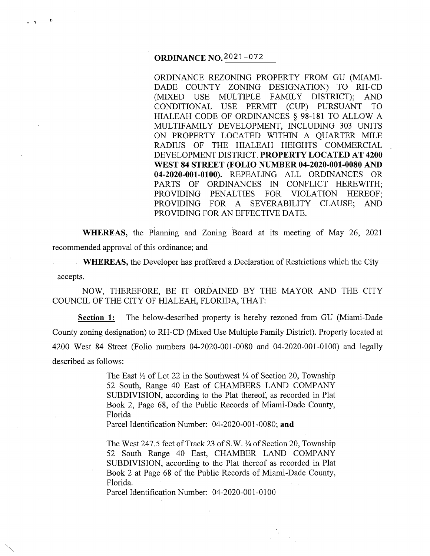# **ORDINANCE N0.2021-072**

**.**<br>بع

ORDINANCE REZONING PROPERTY FROM GU (MIAMI-DADE COUNTY ZONING DESIGNATION) TO RH-CD (MIXED USE MULTIPLE FAMILY DISTRICT); AND CONDITIONAL USE PERMIT (CUP) PURSUANT TO HIALEAH CODE OF ORDINANCES § 98-181 TO ALLOW A MULTIFAMILY DEVELOPMENT, INCLUDING 303 UNITS ON PROPERTY LOCATED WITHIN A QUARTER MILE RADIUS OF THE HIALEAH HEIGHTS COMMERCIAL DEVELOPMENT DISTRICT. **PROPERTY LOCATED AT 4200 WEST 84 STREET (FOLIO NUMBER 04-2020-001-0080 AND 04-2020-001-0100).** REPEALING ALL ORDINANCES OR PARTS OF ORDINANCES IN CONFLICT HEREWITH; PROVIDING PENALTIES FOR VIOLATION HEREOF; PROVIDING FOR A SEVERABILITY CLAUSE; AND PROVIDING FOR AN EFFECTIVE DATE.

**WHEREAS,** the Planning and Zoning Board at its meeting of May 26, 2021 recommended approval of this ordinance; and

**WHEREAS,** the Developer has proffered a Declaration of Restrictions which the City accepts.

NOW, THEREFORE, BE IT ORDAINED BY THE MAYOR AND THE CITY COUNCIL OF THE CITY OF HIALEAH, FLORIDA, THAT:

**Section 1:** The below-described property is hereby rezoned from GU (Miami-Dade County zoning designation) to RH-CD (Mixed Use Multiple Family District). Property located at 4200 West 84 Street (Folio numbers 04-2020-001-0080 and 04-2020-001-0100) and legally described as follows:

> The East  $\frac{1}{2}$  of Lot 22 in the Southwest  $\frac{1}{4}$  of Section 20, Township 52 South, Range 40 East of CHAMBERS LAND COMPANY SUBDIVISION, according to the Plat thereof, as recorded in Plat Book 2, Page 68, of the Public Records of Miami-Dade County, Florida

Parcel Identification Number: 04-2020-001-0080; **and** 

The West 247.5 feet of Track 23 of S.W. 1/4 of Section 20, Township 52 South Range 40 East, CHAMBER LAND COMPANY SUBDIVISION, according to the Plat thereof as recorded in Plat Book 2 at Page 68 of the Public Records of Miami-Dade County, Florida.

Parcel Identification Number: 04-2020-001-0100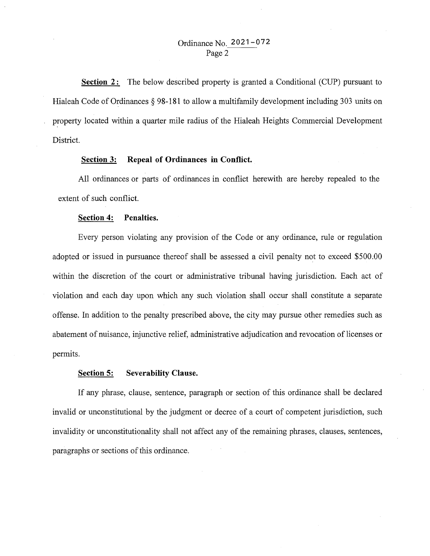# Ordinance No. **2021-072**  Page 2

**Section 2:** The below described property is granted a Conditional (CUP) pursuant to Hialeah Code of Ordinances  $\S$  98-181 to allow a multifamily development including 303 units on property located within a quarter mile radius of the Hialeah Heights Commercial Development District.

# **Section 3: Repeal of Ordinances in Conflict.**

All ordinances or parts of ordinances in conflict herewith are hereby repealed to the extent of such conflict.

### **Section 4: Penalties.**

Every person violating any provision of the Code or any ordinance, rule or regulation adopted or issued in pursuance thereof shall be assessed a civil penalty not to exceed \$500.00 within the discretion of the court or administrative tribunal having jurisdiction. Each act of violation and each day upon which any such violation shall occur shall constitute a separate offense. In addition to the penalty prescribed above, the city may pursue other remedies such as abatement of nuisance, injunctive relief, administrative adjudication and revocation of licenses or permits.

## **Section 5: Severability Clause.**

If any phrase, clause, sentence, paragraph or section of this ordinance shall be declared invalid or unconstitutional by the judgment or decree of a court of competent jurisdiction, such invalidity or unconstitutionality shall not affect any of the remaining phrases, clauses, sentences, paragraphs or sections of this ordinance.